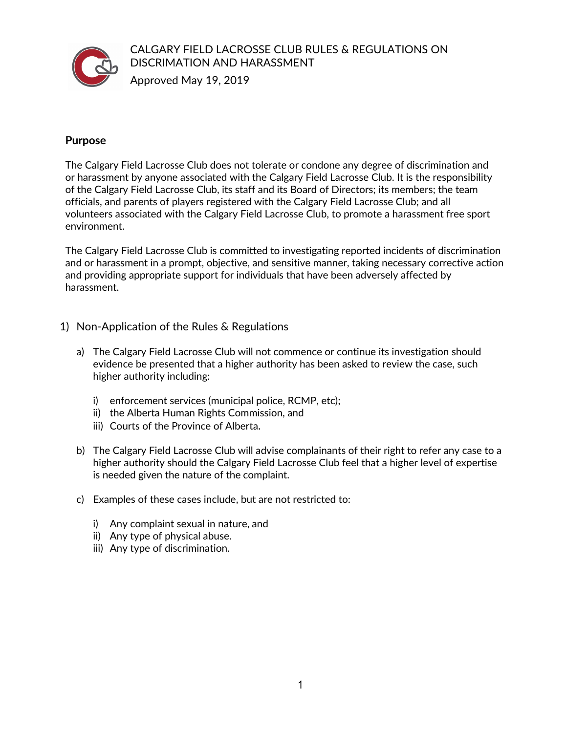

CALGARY FIELD LACROSSE CLUB RULES & REGULATIONS ON DISCRIMATION AND HARASSMENT

Approved May 19, 2019

## **Purpose**

The Calgary Field Lacrosse Club does not tolerate or condone any degree of discrimination and or harassment by anyone associated with the Calgary Field Lacrosse Club. It is the responsibility of the Calgary Field Lacrosse Club, its staff and its Board of Directors; its members; the team officials, and parents of players registered with the Calgary Field Lacrosse Club; and all volunteers associated with the Calgary Field Lacrosse Club, to promote a harassment free sport environment.

The Calgary Field Lacrosse Club is committed to investigating reported incidents of discrimination and or harassment in a prompt, objective, and sensitive manner, taking necessary corrective action and providing appropriate support for individuals that have been adversely affected by harassment.

- 1) Non-Application of the Rules & Regulations
	- a) The Calgary Field Lacrosse Club will not commence or continue its investigation should evidence be presented that a higher authority has been asked to review the case, such higher authority including:
		- i) enforcement services (municipal police, RCMP, etc);
		- ii) the Alberta Human Rights Commission, and
		- iii) Courts of the Province of Alberta.
	- b) The Calgary Field Lacrosse Club will advise complainants of their right to refer any case to a higher authority should the Calgary Field Lacrosse Club feel that a higher level of expertise is needed given the nature of the complaint.
	- c) Examples of these cases include, but are not restricted to:
		- i) Any complaint sexual in nature, and
		- ii) Any type of physical abuse.
		- iii) Any type of discrimination.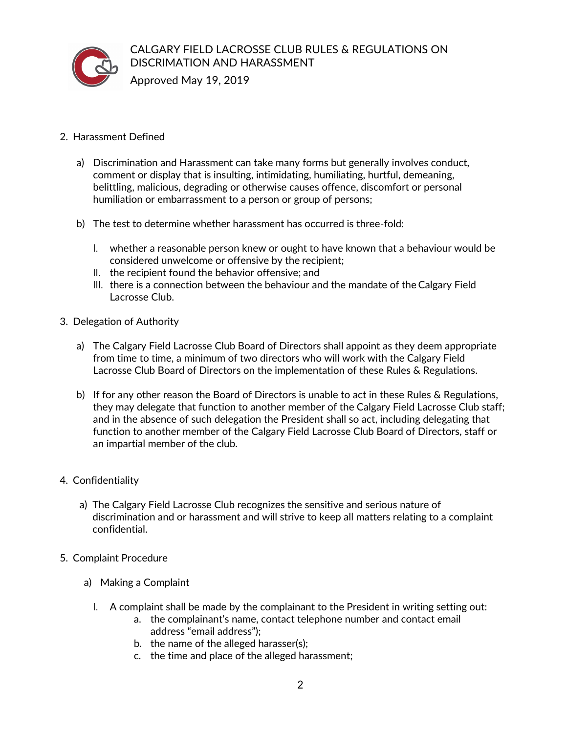

## CALGARY FIELD LACROSSE CLUB RULES & REGULATIONS ON DISCRIMATION AND HARASSMENT

- 2. Harassment Defined
	- a) Discrimination and Harassment can take many forms but generally involves conduct, comment or display that is insulting, intimidating, humiliating, hurtful, demeaning, belittling, malicious, degrading or otherwise causes offence, discomfort or personal humiliation or embarrassment to a person or group of persons;
	- b) The test to determine whether harassment has occurred is three-fold:
		- I. whether a reasonable person knew or ought to have known that a behaviour would be considered unwelcome or offensive by the recipient;
		- II. the recipient found the behavior offensive; and
		- III. there is a connection between the behaviour and the mandate of the Calgary Field Lacrosse Club.
- 3. Delegation of Authority
	- a) The Calgary Field Lacrosse Club Board of Directors shall appoint as they deem appropriate from time to time, a minimum of two directors who will work with the Calgary Field Lacrosse Club Board of Directors on the implementation of these Rules & Regulations.
	- b) If for any other reason the Board of Directors is unable to act in these Rules & Regulations, they may delegate that function to another member of the Calgary Field Lacrosse Club staff; and in the absence of such delegation the President shall so act, including delegating that function to another member of the Calgary Field Lacrosse Club Board of Directors, staff or an impartial member of the club.
- 4. Confidentiality
	- a) The Calgary Field Lacrosse Club recognizes the sensitive and serious nature of discrimination and or harassment and will strive to keep all matters relating to a complaint confidential.
- 5. Complaint Procedure
	- a) Making a Complaint
		- I. A complaint shall be made by the complainant to the President in writing setting out:
			- a. the complainant's name, contact telephone number and contact email address "email address");
			- b. the name of the alleged harasser(s);
			- c. the time and place of the alleged harassment;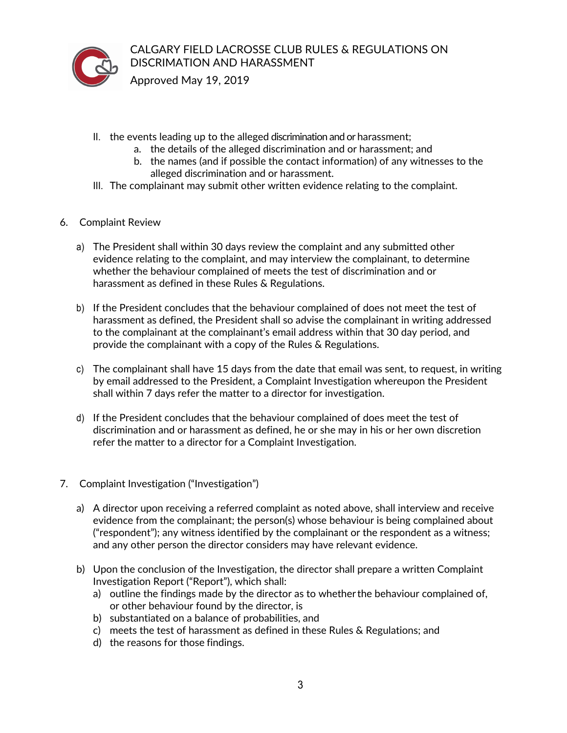

CALGARY FIELD LACROSSE CLUB RULES & REGULATIONS ON DISCRIMATION AND HARASSMENT

- II. the events leading up to the alleged discrimination and or harassment;
	- a. the details of the alleged discrimination and or harassment; and
	- b. the names (and if possible the contact information) of any witnesses to the alleged discrimination and or harassment.
- III. The complainant may submit other written evidence relating to the complaint.
- 6. Complaint Review
	- a) The President shall within 30 days review the complaint and any submitted other evidence relating to the complaint, and may interview the complainant, to determine whether the behaviour complained of meets the test of discrimination and or harassment as defined in these Rules & Regulations.
	- b) If the President concludes that the behaviour complained of does not meet the test of harassment as defined, the President shall so advise the complainant in writing addressed to the complainant at the complainant's email address within that 30 day period, and provide the complainant with a copy of the Rules & Regulations.
	- c) The complainant shall have 15 days from the date that email was sent, to request, in writing by email addressed to the President, a Complaint Investigation whereupon the President shall within 7 days refer the matter to a director for investigation.
	- d) If the President concludes that the behaviour complained of does meet the test of discrimination and or harassment as defined, he or she may in his or her own discretion refer the matter to a director for a Complaint Investigation.
- 7. Complaint Investigation ("Investigation")
	- a) A director upon receiving a referred complaint as noted above, shall interview and receive evidence from the complainant; the person(s) whose behaviour is being complained about ("respondent"); any witness identified by the complainant or the respondent as a witness; and any other person the director considers may have relevant evidence.
	- b) Upon the conclusion of the Investigation, the director shall prepare a written Complaint Investigation Report ("Report"), which shall:
		- a) outline the findings made by the director as to whetherthe behaviour complained of, or other behaviour found by the director, is
		- b) substantiated on a balance of probabilities, and
		- c) meets the test of harassment as defined in these Rules & Regulations; and
		- d) the reasons for those findings.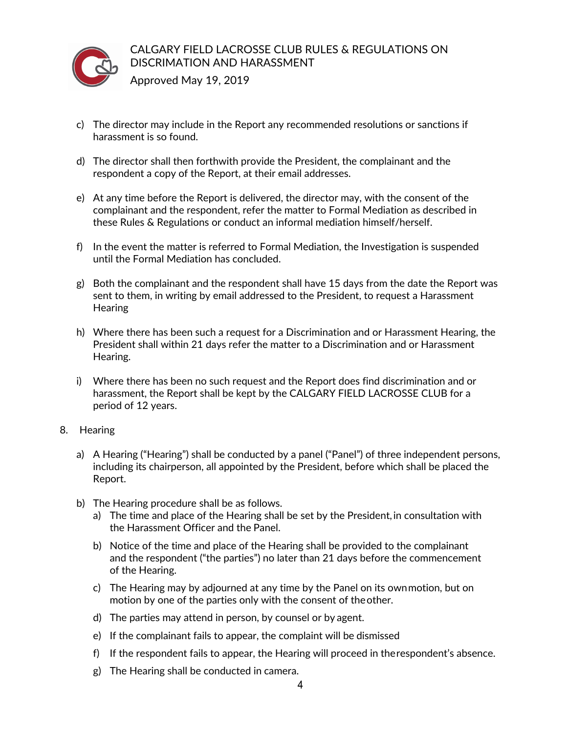

- c) The director may include in the Report any recommended resolutions or sanctions if harassment is so found.
- d) The director shall then forthwith provide the President, the complainant and the respondent a copy of the Report, at their email addresses.
- e) At any time before the Report is delivered, the director may, with the consent of the complainant and the respondent, refer the matter to Formal Mediation as described in these Rules & Regulations or conduct an informal mediation himself/herself.
- f) In the event the matter is referred to Formal Mediation, the Investigation is suspended until the Formal Mediation has concluded.
- g) Both the complainant and the respondent shall have 15 days from the date the Report was sent to them, in writing by email addressed to the President, to request a Harassment **Hearing**
- h) Where there has been such a request for a Discrimination and or Harassment Hearing, the President shall within 21 days refer the matter to a Discrimination and or Harassment Hearing.
- i) Where there has been no such request and the Report does find discrimination and or harassment, the Report shall be kept by the CALGARY FIELD LACROSSE CLUB for a period of 12 years.
- 8. Hearing
	- a) A Hearing ("Hearing") shall be conducted by a panel ("Panel") of three independent persons, including its chairperson, all appointed by the President, before which shall be placed the Report.
	- b) The Hearing procedure shall be as follows.
		- a) The time and place of the Hearing shall be set by the President, in consultation with the Harassment Officer and the Panel.
		- b) Notice of the time and place of the Hearing shall be provided to the complainant and the respondent ("the parties") no later than 21 days before the commencement of the Hearing.
		- c) The Hearing may by adjourned at any time by the Panel on its ownmotion, but on motion by one of the parties only with the consent of theother.
		- d) The parties may attend in person, by counsel or by agent.
		- e) If the complainant fails to appear, the complaint will be dismissed
		- f) If the respondent fails to appear, the Hearing will proceed in therespondent's absence.
		- g) The Hearing shall be conducted in camera.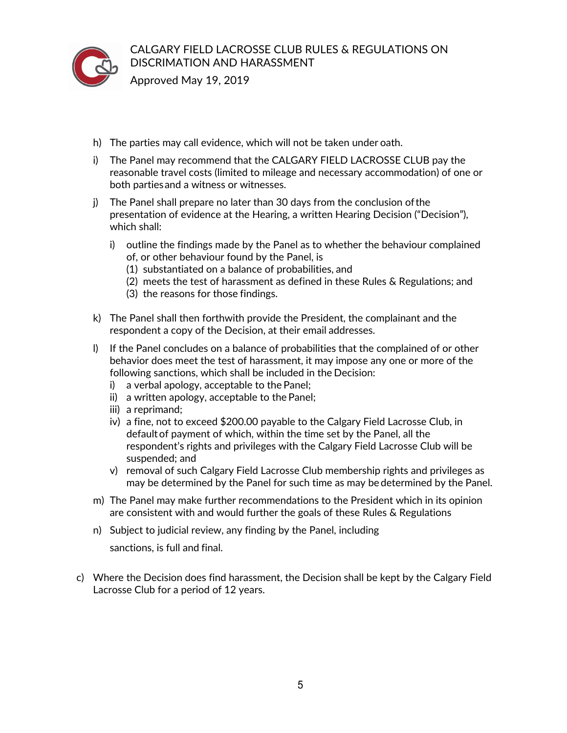

Approved May 19, 2019

- h) The parties may call evidence, which will not be taken under oath.
- i) The Panel may recommend that the CALGARY FIELD LACROSSE CLUB pay the reasonable travel costs (limited to mileage and necessary accommodation) of one or both partiesand a witness or witnesses.
- j) The Panel shall prepare no later than 30 days from the conclusion ofthe presentation of evidence at the Hearing, a written Hearing Decision ("Decision"), which shall:
	- i) outline the findings made by the Panel as to whether the behaviour complained of, or other behaviour found by the Panel, is
		- (1) substantiated on a balance of probabilities, and
		- (2) meets the test of harassment as defined in these Rules & Regulations; and
		- (3) the reasons for those findings.
- k) The Panel shall then forthwith provide the President, the complainant and the respondent a copy of the Decision, at their email addresses.
- l) If the Panel concludes on a balance of probabilities that the complained of or other behavior does meet the test of harassment, it may impose any one or more of the following sanctions, which shall be included in the Decision:
	- i) a verbal apology, acceptable to the Panel;
	- ii) a written apology, acceptable to the Panel;
	- iii) a reprimand;
	- iv) a fine, not to exceed \$200.00 payable to the Calgary Field Lacrosse Club, in defaultof payment of which, within the time set by the Panel, all the respondent's rights and privileges with the Calgary Field Lacrosse Club will be suspended; and
	- v) removal of such Calgary Field Lacrosse Club membership rights and privileges as may be determined by the Panel for such time as may be determined by the Panel.
- m) The Panel may make further recommendations to the President which in its opinion are consistent with and would further the goals of these Rules & Regulations
- n) Subject to judicial review, any finding by the Panel, including

sanctions, is full and final.

c) Where the Decision does find harassment, the Decision shall be kept by the Calgary Field Lacrosse Club for a period of 12 years.